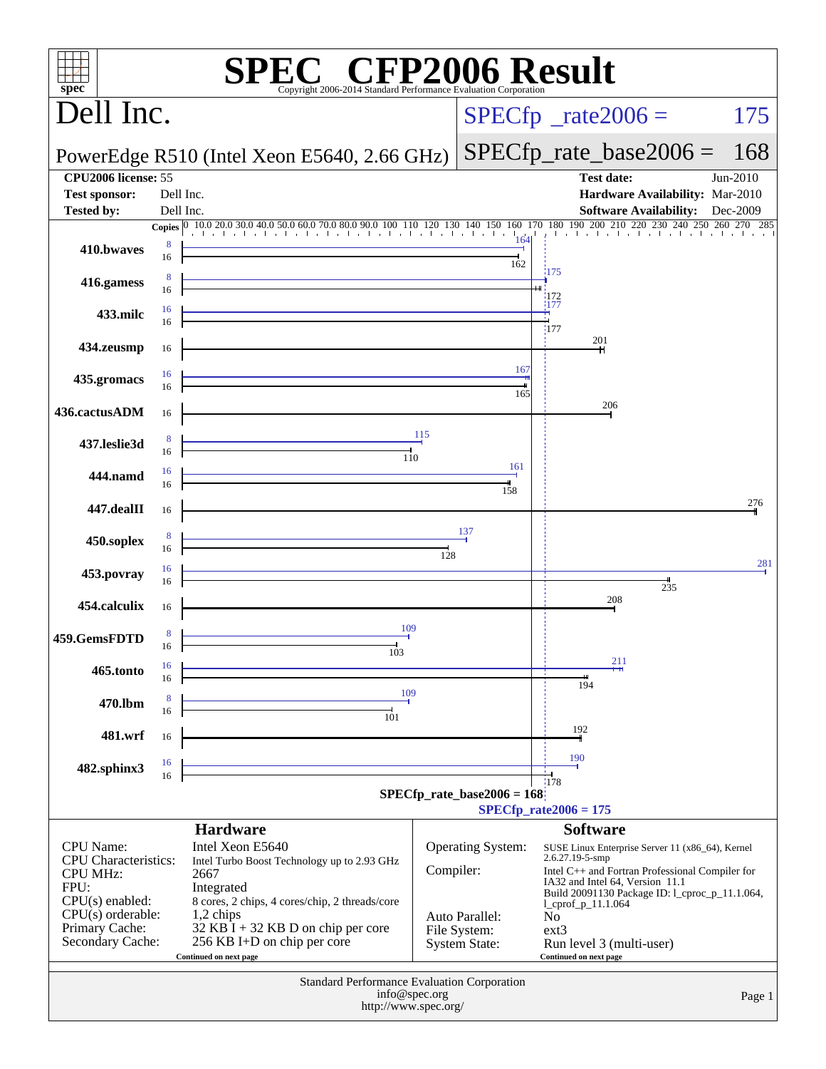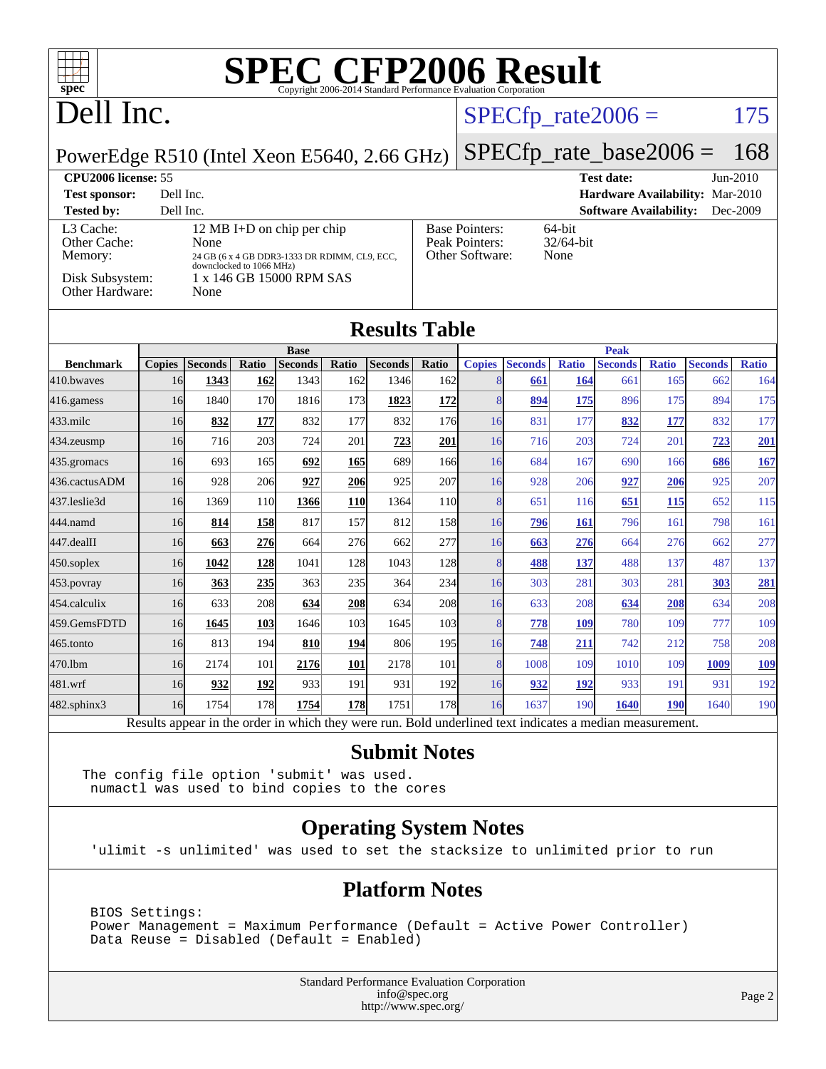

[482.sphinx3](http://www.spec.org/auto/cpu2006/Docs/482.sphinx3.html) 16 1754 178 **[1754](http://www.spec.org/auto/cpu2006/Docs/result-fields.html#Median) [178](http://www.spec.org/auto/cpu2006/Docs/result-fields.html#Median)** 1751 178 16 1637 190 **[1640](http://www.spec.org/auto/cpu2006/Docs/result-fields.html#Median) [190](http://www.spec.org/auto/cpu2006/Docs/result-fields.html#Median)** 1640 190 Results appear in the [order in which they were run.](http://www.spec.org/auto/cpu2006/Docs/result-fields.html#RunOrder) Bold underlined text [indicates a median measurement.](http://www.spec.org/auto/cpu2006/Docs/result-fields.html#Median)

[470.lbm](http://www.spec.org/auto/cpu2006/Docs/470.lbm.html) 16 2174 101 **[2176](http://www.spec.org/auto/cpu2006/Docs/result-fields.html#Median) [101](http://www.spec.org/auto/cpu2006/Docs/result-fields.html#Median)** 2178 101 8 1008 109 1010 109 **[1009](http://www.spec.org/auto/cpu2006/Docs/result-fields.html#Median) [109](http://www.spec.org/auto/cpu2006/Docs/result-fields.html#Median)** [481.wrf](http://www.spec.org/auto/cpu2006/Docs/481.wrf.html) 16 **[932](http://www.spec.org/auto/cpu2006/Docs/result-fields.html#Median) [192](http://www.spec.org/auto/cpu2006/Docs/result-fields.html#Median)** 933 191 931 192 16 **[932](http://www.spec.org/auto/cpu2006/Docs/result-fields.html#Median) [192](http://www.spec.org/auto/cpu2006/Docs/result-fields.html#Median)** 933 191 931 192

#### **[Submit Notes](http://www.spec.org/auto/cpu2006/Docs/result-fields.html#SubmitNotes)**

The config file option 'submit' was used. numactl was used to bind copies to the cores

#### **[Operating System Notes](http://www.spec.org/auto/cpu2006/Docs/result-fields.html#OperatingSystemNotes)**

'ulimit -s unlimited' was used to set the stacksize to unlimited prior to run

#### **[Platform Notes](http://www.spec.org/auto/cpu2006/Docs/result-fields.html#PlatformNotes)**

 BIOS Settings: Power Management = Maximum Performance (Default = Active Power Controller) Data Reuse = Disabled (Default = Enabled)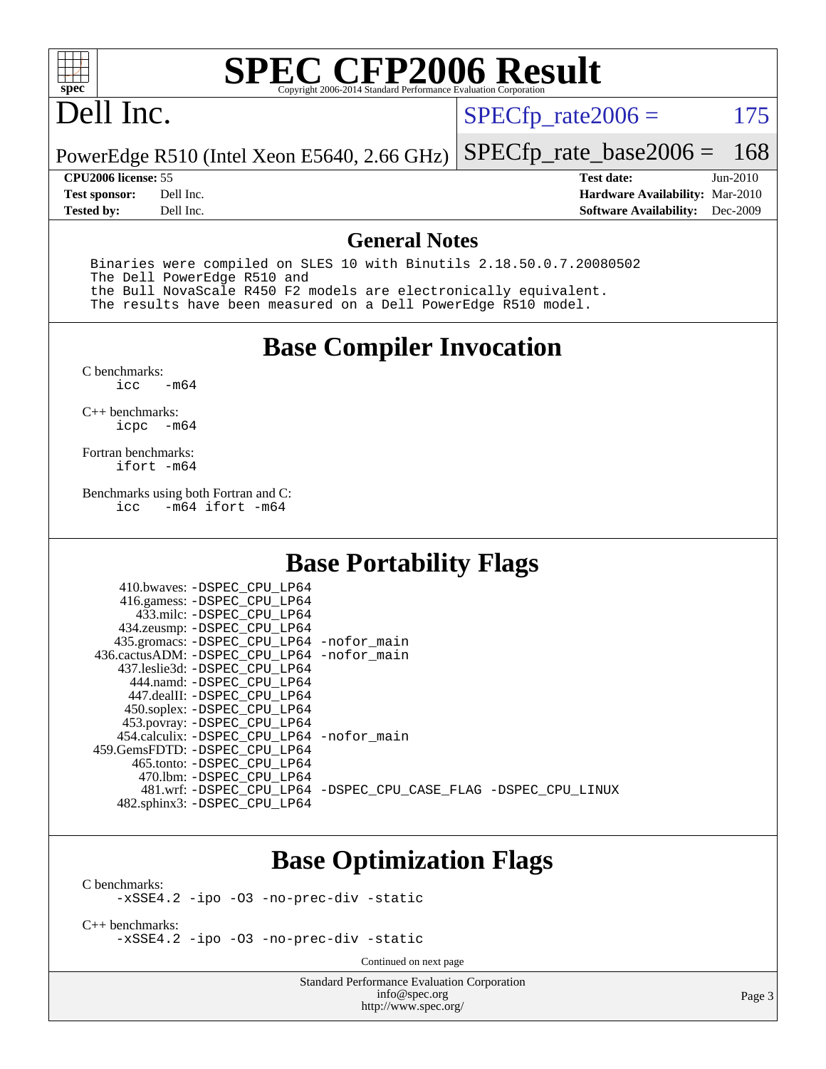

## Dell Inc.

 $SPECTp_rate2006 = 175$ 

PowerEdge R510 (Intel Xeon E5640, 2.66 GHz) [SPECfp\\_rate\\_base2006 =](http://www.spec.org/auto/cpu2006/Docs/result-fields.html#SPECfpratebase2006) 168

**[Tested by:](http://www.spec.org/auto/cpu2006/Docs/result-fields.html#Testedby)** Dell Inc. **[Software Availability:](http://www.spec.org/auto/cpu2006/Docs/result-fields.html#SoftwareAvailability)** Dec-2009

**[CPU2006 license:](http://www.spec.org/auto/cpu2006/Docs/result-fields.html#CPU2006license)** 55 **[Test date:](http://www.spec.org/auto/cpu2006/Docs/result-fields.html#Testdate)** Jun-2010 **[Test sponsor:](http://www.spec.org/auto/cpu2006/Docs/result-fields.html#Testsponsor)** Dell Inc. **[Hardware Availability:](http://www.spec.org/auto/cpu2006/Docs/result-fields.html#HardwareAvailability)** Mar-2010

#### **[General Notes](http://www.spec.org/auto/cpu2006/Docs/result-fields.html#GeneralNotes)**

 Binaries were compiled on SLES 10 with Binutils 2.18.50.0.7.20080502 The Dell PowerEdge R510 and the Bull NovaScale R450 F2 models are electronically equivalent. The results have been measured on a Dell PowerEdge R510 model.

#### **[Base Compiler Invocation](http://www.spec.org/auto/cpu2006/Docs/result-fields.html#BaseCompilerInvocation)**

 $C$  benchmarks:<br>icc  $-m64$ 

[C++ benchmarks:](http://www.spec.org/auto/cpu2006/Docs/result-fields.html#CXXbenchmarks) [icpc -m64](http://www.spec.org/cpu2006/results/res2010q3/cpu2006-20100913-13216.flags.html#user_CXXbase_intel_icpc_64bit_bedb90c1146cab66620883ef4f41a67e)

[Fortran benchmarks](http://www.spec.org/auto/cpu2006/Docs/result-fields.html#Fortranbenchmarks): [ifort -m64](http://www.spec.org/cpu2006/results/res2010q3/cpu2006-20100913-13216.flags.html#user_FCbase_intel_ifort_64bit_ee9d0fb25645d0210d97eb0527dcc06e)

[Benchmarks using both Fortran and C](http://www.spec.org/auto/cpu2006/Docs/result-fields.html#BenchmarksusingbothFortranandC):<br>icc -m64 ifort -m64  $-m64$  ifort  $-m64$ 

 $410 \text{ hwayes: } -$ DSPEC\_CPU\_LP64

#### **[Base Portability Flags](http://www.spec.org/auto/cpu2006/Docs/result-fields.html#BasePortabilityFlags)**

| TIU.UWAYCS. DUFBC CFU DFUT                   |                                                                |
|----------------------------------------------|----------------------------------------------------------------|
| 416.gamess: -DSPEC_CPU_LP64                  |                                                                |
| 433.milc: -DSPEC CPU LP64                    |                                                                |
| 434.zeusmp: -DSPEC_CPU_LP64                  |                                                                |
| 435.gromacs: -DSPEC_CPU_LP64 -nofor_main     |                                                                |
| 436.cactusADM: - DSPEC CPU LP64 - nofor main |                                                                |
| 437.leslie3d: -DSPEC CPU LP64                |                                                                |
| 444.namd: -DSPEC CPU LP64                    |                                                                |
| 447.dealII: -DSPEC CPU LP64                  |                                                                |
| 450.soplex: -DSPEC_CPU_LP64                  |                                                                |
| 453.povray: -DSPEC_CPU_LP64                  |                                                                |
| 454.calculix: -DSPEC CPU LP64 -nofor main    |                                                                |
| 459. GemsFDTD: - DSPEC CPU LP64              |                                                                |
| 465.tonto: - DSPEC CPU LP64                  |                                                                |
| 470.1bm: - DSPEC_CPU_LP64                    |                                                                |
|                                              | 481.wrf: -DSPEC_CPU_LP64 -DSPEC_CPU_CASE_FLAG -DSPEC_CPU_LINUX |
| 482.sphinx3: -DSPEC_CPU_LP64                 |                                                                |
|                                              |                                                                |

#### **[Base Optimization Flags](http://www.spec.org/auto/cpu2006/Docs/result-fields.html#BaseOptimizationFlags)**

[C benchmarks](http://www.spec.org/auto/cpu2006/Docs/result-fields.html#Cbenchmarks):

[-xSSE4.2](http://www.spec.org/cpu2006/results/res2010q3/cpu2006-20100913-13216.flags.html#user_CCbase_f-xSSE42_f91528193cf0b216347adb8b939d4107) [-ipo](http://www.spec.org/cpu2006/results/res2010q3/cpu2006-20100913-13216.flags.html#user_CCbase_f-ipo) [-O3](http://www.spec.org/cpu2006/results/res2010q3/cpu2006-20100913-13216.flags.html#user_CCbase_f-O3) [-no-prec-div](http://www.spec.org/cpu2006/results/res2010q3/cpu2006-20100913-13216.flags.html#user_CCbase_f-no-prec-div) [-static](http://www.spec.org/cpu2006/results/res2010q3/cpu2006-20100913-13216.flags.html#user_CCbase_f-static)

[C++ benchmarks:](http://www.spec.org/auto/cpu2006/Docs/result-fields.html#CXXbenchmarks) [-xSSE4.2](http://www.spec.org/cpu2006/results/res2010q3/cpu2006-20100913-13216.flags.html#user_CXXbase_f-xSSE42_f91528193cf0b216347adb8b939d4107) [-ipo](http://www.spec.org/cpu2006/results/res2010q3/cpu2006-20100913-13216.flags.html#user_CXXbase_f-ipo) [-O3](http://www.spec.org/cpu2006/results/res2010q3/cpu2006-20100913-13216.flags.html#user_CXXbase_f-O3) [-no-prec-div](http://www.spec.org/cpu2006/results/res2010q3/cpu2006-20100913-13216.flags.html#user_CXXbase_f-no-prec-div) [-static](http://www.spec.org/cpu2006/results/res2010q3/cpu2006-20100913-13216.flags.html#user_CXXbase_f-static)

Continued on next page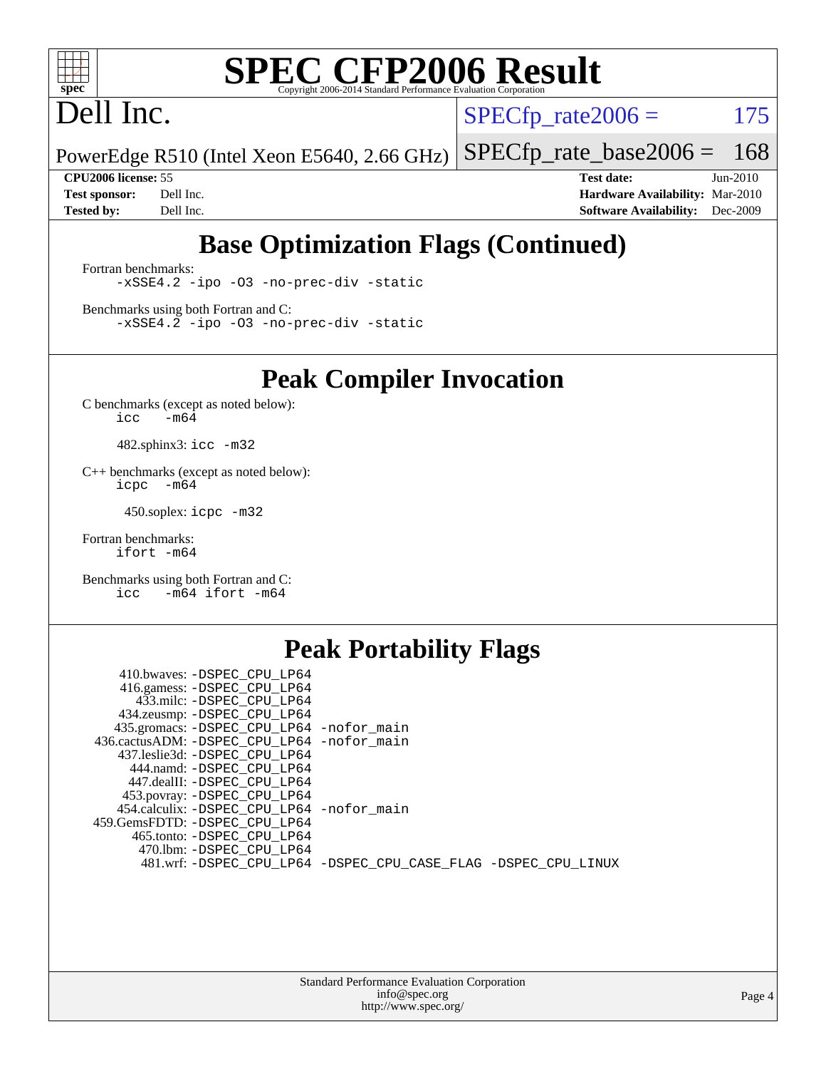

# Dell Inc.

 $SPECTp_rate2006 = 175$ 

PowerEdge R510 (Intel Xeon E5640, 2.66 GHz) [SPECfp\\_rate\\_base2006 =](http://www.spec.org/auto/cpu2006/Docs/result-fields.html#SPECfpratebase2006) 168

**[CPU2006 license:](http://www.spec.org/auto/cpu2006/Docs/result-fields.html#CPU2006license)** 55 **[Test date:](http://www.spec.org/auto/cpu2006/Docs/result-fields.html#Testdate)** Jun-2010 **[Test sponsor:](http://www.spec.org/auto/cpu2006/Docs/result-fields.html#Testsponsor)** Dell Inc. **[Hardware Availability:](http://www.spec.org/auto/cpu2006/Docs/result-fields.html#HardwareAvailability)** Mar-2010 **[Tested by:](http://www.spec.org/auto/cpu2006/Docs/result-fields.html#Testedby)** Dell Inc. **[Software Availability:](http://www.spec.org/auto/cpu2006/Docs/result-fields.html#SoftwareAvailability)** Dec-2009

### **[Base Optimization Flags \(Continued\)](http://www.spec.org/auto/cpu2006/Docs/result-fields.html#BaseOptimizationFlags)**

[Fortran benchmarks](http://www.spec.org/auto/cpu2006/Docs/result-fields.html#Fortranbenchmarks): [-xSSE4.2](http://www.spec.org/cpu2006/results/res2010q3/cpu2006-20100913-13216.flags.html#user_FCbase_f-xSSE42_f91528193cf0b216347adb8b939d4107) [-ipo](http://www.spec.org/cpu2006/results/res2010q3/cpu2006-20100913-13216.flags.html#user_FCbase_f-ipo) [-O3](http://www.spec.org/cpu2006/results/res2010q3/cpu2006-20100913-13216.flags.html#user_FCbase_f-O3) [-no-prec-div](http://www.spec.org/cpu2006/results/res2010q3/cpu2006-20100913-13216.flags.html#user_FCbase_f-no-prec-div) [-static](http://www.spec.org/cpu2006/results/res2010q3/cpu2006-20100913-13216.flags.html#user_FCbase_f-static)

[Benchmarks using both Fortran and C](http://www.spec.org/auto/cpu2006/Docs/result-fields.html#BenchmarksusingbothFortranandC): [-xSSE4.2](http://www.spec.org/cpu2006/results/res2010q3/cpu2006-20100913-13216.flags.html#user_CC_FCbase_f-xSSE42_f91528193cf0b216347adb8b939d4107) [-ipo](http://www.spec.org/cpu2006/results/res2010q3/cpu2006-20100913-13216.flags.html#user_CC_FCbase_f-ipo) [-O3](http://www.spec.org/cpu2006/results/res2010q3/cpu2006-20100913-13216.flags.html#user_CC_FCbase_f-O3) [-no-prec-div](http://www.spec.org/cpu2006/results/res2010q3/cpu2006-20100913-13216.flags.html#user_CC_FCbase_f-no-prec-div) [-static](http://www.spec.org/cpu2006/results/res2010q3/cpu2006-20100913-13216.flags.html#user_CC_FCbase_f-static)

**[Peak Compiler Invocation](http://www.spec.org/auto/cpu2006/Docs/result-fields.html#PeakCompilerInvocation)**

[C benchmarks \(except as noted below\)](http://www.spec.org/auto/cpu2006/Docs/result-fields.html#Cbenchmarksexceptasnotedbelow):  $\text{icc}$  -m64

482.sphinx3: [icc -m32](http://www.spec.org/cpu2006/results/res2010q3/cpu2006-20100913-13216.flags.html#user_peakCCLD482_sphinx3_intel_icc_32bit_a6a621f8d50482236b970c6ac5f55f93)

[C++ benchmarks \(except as noted below\):](http://www.spec.org/auto/cpu2006/Docs/result-fields.html#CXXbenchmarksexceptasnotedbelow) [icpc -m64](http://www.spec.org/cpu2006/results/res2010q3/cpu2006-20100913-13216.flags.html#user_CXXpeak_intel_icpc_64bit_bedb90c1146cab66620883ef4f41a67e)

450.soplex: [icpc -m32](http://www.spec.org/cpu2006/results/res2010q3/cpu2006-20100913-13216.flags.html#user_peakCXXLD450_soplex_intel_icpc_32bit_4e5a5ef1a53fd332b3c49e69c3330699)

[Fortran benchmarks](http://www.spec.org/auto/cpu2006/Docs/result-fields.html#Fortranbenchmarks): [ifort -m64](http://www.spec.org/cpu2006/results/res2010q3/cpu2006-20100913-13216.flags.html#user_FCpeak_intel_ifort_64bit_ee9d0fb25645d0210d97eb0527dcc06e)

[Benchmarks using both Fortran and C](http://www.spec.org/auto/cpu2006/Docs/result-fields.html#BenchmarksusingbothFortranandC): [icc -m64](http://www.spec.org/cpu2006/results/res2010q3/cpu2006-20100913-13216.flags.html#user_CC_FCpeak_intel_icc_64bit_0b7121f5ab7cfabee23d88897260401c) [ifort -m64](http://www.spec.org/cpu2006/results/res2010q3/cpu2006-20100913-13216.flags.html#user_CC_FCpeak_intel_ifort_64bit_ee9d0fb25645d0210d97eb0527dcc06e)

#### **[Peak Portability Flags](http://www.spec.org/auto/cpu2006/Docs/result-fields.html#PeakPortabilityFlags)**

| 410.bwaves: -DSPEC CPU LP64                |                                                                |
|--------------------------------------------|----------------------------------------------------------------|
| 416.gamess: -DSPEC CPU LP64                |                                                                |
| 433.milc: -DSPEC CPU LP64                  |                                                                |
| 434.zeusmp: -DSPEC_CPU_LP64                |                                                                |
| 435.gromacs: -DSPEC_CPU_LP64 -nofor_main   |                                                                |
| 436.cactusADM: -DSPEC CPU LP64 -nofor main |                                                                |
| 437.leslie3d: -DSPEC CPU LP64              |                                                                |
| 444.namd: -DSPEC CPU LP64                  |                                                                |
| 447.dealII: -DSPEC CPU LP64                |                                                                |
| 453.povray: -DSPEC_CPU_LP64                |                                                                |
| 454.calculix: -DSPEC_CPU_LP64 -nofor_main  |                                                                |
| 459.GemsFDTD: -DSPEC CPU LP64              |                                                                |
| 465.tonto: -DSPEC CPU LP64                 |                                                                |
| 470.1bm: -DSPEC CPU LP64                   |                                                                |
|                                            | 481.wrf: -DSPEC_CPU_LP64 -DSPEC_CPU_CASE_FLAG -DSPEC_CPU_LINUX |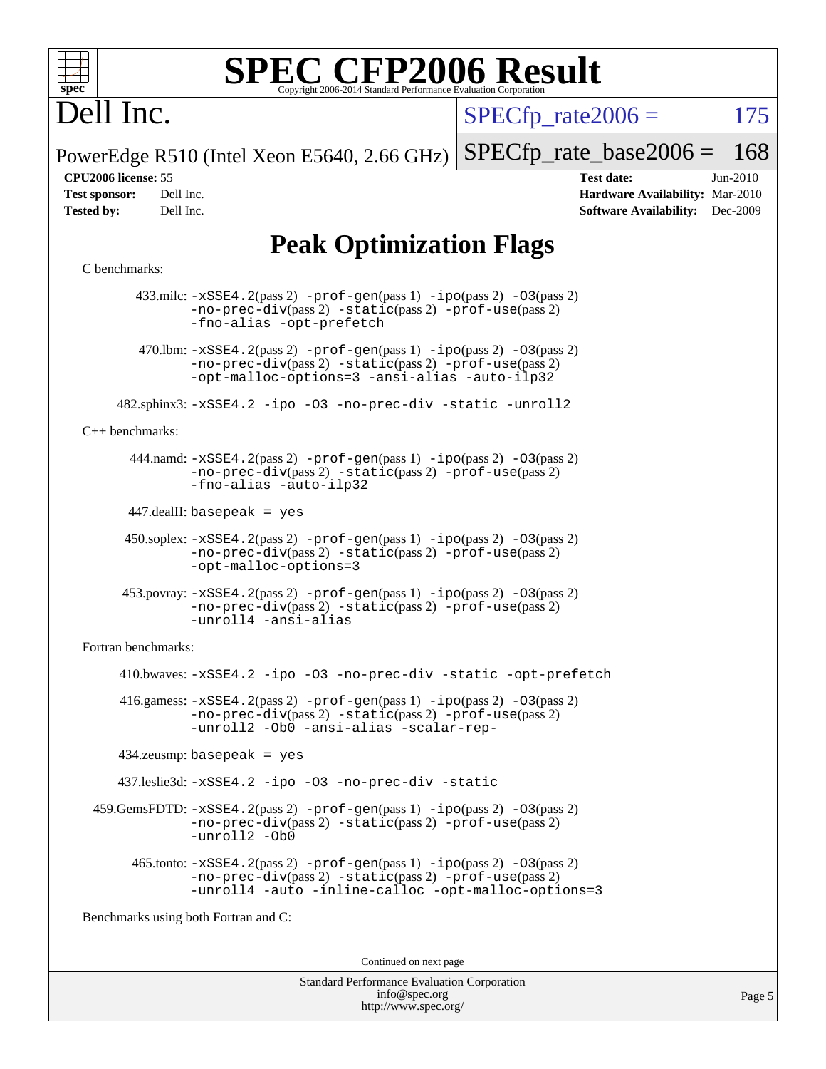

# Dell Inc.

 $SPECTp\_rate2006 = 175$ 

PowerEdge R510 (Intel Xeon E5640, 2.66 GHz) [SPECfp\\_rate\\_base2006 =](http://www.spec.org/auto/cpu2006/Docs/result-fields.html#SPECfpratebase2006) 168

**[CPU2006 license:](http://www.spec.org/auto/cpu2006/Docs/result-fields.html#CPU2006license)** 55 **[Test date:](http://www.spec.org/auto/cpu2006/Docs/result-fields.html#Testdate)** Jun-2010 **[Test sponsor:](http://www.spec.org/auto/cpu2006/Docs/result-fields.html#Testsponsor)** Dell Inc. **[Hardware Availability:](http://www.spec.org/auto/cpu2006/Docs/result-fields.html#HardwareAvailability)** Mar-2010 **[Tested by:](http://www.spec.org/auto/cpu2006/Docs/result-fields.html#Testedby)** Dell Inc. **[Software Availability:](http://www.spec.org/auto/cpu2006/Docs/result-fields.html#SoftwareAvailability)** Dec-2009

### **[Peak Optimization Flags](http://www.spec.org/auto/cpu2006/Docs/result-fields.html#PeakOptimizationFlags)**

#### [C benchmarks](http://www.spec.org/auto/cpu2006/Docs/result-fields.html#Cbenchmarks):

 433.milc: [-xSSE4.2](http://www.spec.org/cpu2006/results/res2010q3/cpu2006-20100913-13216.flags.html#user_peakPASS2_CFLAGSPASS2_LDFLAGS433_milc_f-xSSE42_f91528193cf0b216347adb8b939d4107)(pass 2) [-prof-gen](http://www.spec.org/cpu2006/results/res2010q3/cpu2006-20100913-13216.flags.html#user_peakPASS1_CFLAGSPASS1_LDFLAGS433_milc_prof_gen_e43856698f6ca7b7e442dfd80e94a8fc)(pass 1) [-ipo](http://www.spec.org/cpu2006/results/res2010q3/cpu2006-20100913-13216.flags.html#user_peakPASS2_CFLAGSPASS2_LDFLAGS433_milc_f-ipo)(pass 2) [-O3](http://www.spec.org/cpu2006/results/res2010q3/cpu2006-20100913-13216.flags.html#user_peakPASS2_CFLAGSPASS2_LDFLAGS433_milc_f-O3)(pass 2) [-no-prec-div](http://www.spec.org/cpu2006/results/res2010q3/cpu2006-20100913-13216.flags.html#user_peakPASS2_CFLAGSPASS2_LDFLAGS433_milc_f-no-prec-div)(pass 2) [-static](http://www.spec.org/cpu2006/results/res2010q3/cpu2006-20100913-13216.flags.html#user_peakPASS2_CFLAGSPASS2_LDFLAGS433_milc_f-static)(pass 2) [-prof-use](http://www.spec.org/cpu2006/results/res2010q3/cpu2006-20100913-13216.flags.html#user_peakPASS2_CFLAGSPASS2_LDFLAGS433_milc_prof_use_bccf7792157ff70d64e32fe3e1250b55)(pass 2) [-fno-alias](http://www.spec.org/cpu2006/results/res2010q3/cpu2006-20100913-13216.flags.html#user_peakOPTIMIZE433_milc_f-no-alias_694e77f6c5a51e658e82ccff53a9e63a) [-opt-prefetch](http://www.spec.org/cpu2006/results/res2010q3/cpu2006-20100913-13216.flags.html#user_peakOPTIMIZE433_milc_f-opt-prefetch) 470.1bm:  $-xSSE4$ . 2(pass 2)  $-prof-gen(pass 1) -ipo(pass 2) -O3(pass 2)$  $-prof-gen(pass 1) -ipo(pass 2) -O3(pass 2)$  $-prof-gen(pass 1) -ipo(pass 2) -O3(pass 2)$  $-prof-gen(pass 1) -ipo(pass 2) -O3(pass 2)$  $-prof-gen(pass 1) -ipo(pass 2) -O3(pass 2)$  $-prof-gen(pass 1) -ipo(pass 2) -O3(pass 2)$ [-no-prec-div](http://www.spec.org/cpu2006/results/res2010q3/cpu2006-20100913-13216.flags.html#user_peakPASS2_CFLAGSPASS2_LDFLAGS470_lbm_f-no-prec-div)(pass 2) [-static](http://www.spec.org/cpu2006/results/res2010q3/cpu2006-20100913-13216.flags.html#user_peakPASS2_CFLAGSPASS2_LDFLAGS470_lbm_f-static)(pass 2) [-prof-use](http://www.spec.org/cpu2006/results/res2010q3/cpu2006-20100913-13216.flags.html#user_peakPASS2_CFLAGSPASS2_LDFLAGS470_lbm_prof_use_bccf7792157ff70d64e32fe3e1250b55)(pass 2) [-opt-malloc-options=3](http://www.spec.org/cpu2006/results/res2010q3/cpu2006-20100913-13216.flags.html#user_peakOPTIMIZE470_lbm_f-opt-malloc-options_13ab9b803cf986b4ee62f0a5998c2238) [-ansi-alias](http://www.spec.org/cpu2006/results/res2010q3/cpu2006-20100913-13216.flags.html#user_peakOPTIMIZE470_lbm_f-ansi-alias) [-auto-ilp32](http://www.spec.org/cpu2006/results/res2010q3/cpu2006-20100913-13216.flags.html#user_peakCOPTIMIZE470_lbm_f-auto-ilp32) 482.sphinx3: [-xSSE4.2](http://www.spec.org/cpu2006/results/res2010q3/cpu2006-20100913-13216.flags.html#user_peakOPTIMIZE482_sphinx3_f-xSSE42_f91528193cf0b216347adb8b939d4107) [-ipo](http://www.spec.org/cpu2006/results/res2010q3/cpu2006-20100913-13216.flags.html#user_peakOPTIMIZE482_sphinx3_f-ipo) [-O3](http://www.spec.org/cpu2006/results/res2010q3/cpu2006-20100913-13216.flags.html#user_peakOPTIMIZE482_sphinx3_f-O3) [-no-prec-div](http://www.spec.org/cpu2006/results/res2010q3/cpu2006-20100913-13216.flags.html#user_peakOPTIMIZE482_sphinx3_f-no-prec-div) [-static](http://www.spec.org/cpu2006/results/res2010q3/cpu2006-20100913-13216.flags.html#user_peakOPTIMIZE482_sphinx3_f-static) [-unroll2](http://www.spec.org/cpu2006/results/res2010q3/cpu2006-20100913-13216.flags.html#user_peakCOPTIMIZE482_sphinx3_f-unroll_784dae83bebfb236979b41d2422d7ec2) [C++ benchmarks:](http://www.spec.org/auto/cpu2006/Docs/result-fields.html#CXXbenchmarks) 444.namd: [-xSSE4.2](http://www.spec.org/cpu2006/results/res2010q3/cpu2006-20100913-13216.flags.html#user_peakPASS2_CXXFLAGSPASS2_LDFLAGS444_namd_f-xSSE42_f91528193cf0b216347adb8b939d4107)(pass 2) [-prof-gen](http://www.spec.org/cpu2006/results/res2010q3/cpu2006-20100913-13216.flags.html#user_peakPASS1_CXXFLAGSPASS1_LDFLAGS444_namd_prof_gen_e43856698f6ca7b7e442dfd80e94a8fc)(pass 1) [-ipo](http://www.spec.org/cpu2006/results/res2010q3/cpu2006-20100913-13216.flags.html#user_peakPASS2_CXXFLAGSPASS2_LDFLAGS444_namd_f-ipo)(pass 2) [-O3](http://www.spec.org/cpu2006/results/res2010q3/cpu2006-20100913-13216.flags.html#user_peakPASS2_CXXFLAGSPASS2_LDFLAGS444_namd_f-O3)(pass 2) [-no-prec-div](http://www.spec.org/cpu2006/results/res2010q3/cpu2006-20100913-13216.flags.html#user_peakPASS2_CXXFLAGSPASS2_LDFLAGS444_namd_f-no-prec-div)(pass 2) [-static](http://www.spec.org/cpu2006/results/res2010q3/cpu2006-20100913-13216.flags.html#user_peakPASS2_CXXFLAGSPASS2_LDFLAGS444_namd_f-static)(pass 2) [-prof-use](http://www.spec.org/cpu2006/results/res2010q3/cpu2006-20100913-13216.flags.html#user_peakPASS2_CXXFLAGSPASS2_LDFLAGS444_namd_prof_use_bccf7792157ff70d64e32fe3e1250b55)(pass 2) [-fno-alias](http://www.spec.org/cpu2006/results/res2010q3/cpu2006-20100913-13216.flags.html#user_peakCXXOPTIMIZE444_namd_f-no-alias_694e77f6c5a51e658e82ccff53a9e63a) [-auto-ilp32](http://www.spec.org/cpu2006/results/res2010q3/cpu2006-20100913-13216.flags.html#user_peakCXXOPTIMIZE444_namd_f-auto-ilp32) 447.dealII: basepeak = yes 450.soplex: [-xSSE4.2](http://www.spec.org/cpu2006/results/res2010q3/cpu2006-20100913-13216.flags.html#user_peakPASS2_CXXFLAGSPASS2_LDFLAGS450_soplex_f-xSSE42_f91528193cf0b216347adb8b939d4107)(pass 2) [-prof-gen](http://www.spec.org/cpu2006/results/res2010q3/cpu2006-20100913-13216.flags.html#user_peakPASS1_CXXFLAGSPASS1_LDFLAGS450_soplex_prof_gen_e43856698f6ca7b7e442dfd80e94a8fc)(pass 1) [-ipo](http://www.spec.org/cpu2006/results/res2010q3/cpu2006-20100913-13216.flags.html#user_peakPASS2_CXXFLAGSPASS2_LDFLAGS450_soplex_f-ipo)(pass 2) [-O3](http://www.spec.org/cpu2006/results/res2010q3/cpu2006-20100913-13216.flags.html#user_peakPASS2_CXXFLAGSPASS2_LDFLAGS450_soplex_f-O3)(pass 2) [-no-prec-div](http://www.spec.org/cpu2006/results/res2010q3/cpu2006-20100913-13216.flags.html#user_peakPASS2_CXXFLAGSPASS2_LDFLAGS450_soplex_f-no-prec-div)(pass 2) [-static](http://www.spec.org/cpu2006/results/res2010q3/cpu2006-20100913-13216.flags.html#user_peakPASS2_CXXFLAGSPASS2_LDFLAGS450_soplex_f-static)(pass 2) [-prof-use](http://www.spec.org/cpu2006/results/res2010q3/cpu2006-20100913-13216.flags.html#user_peakPASS2_CXXFLAGSPASS2_LDFLAGS450_soplex_prof_use_bccf7792157ff70d64e32fe3e1250b55)(pass 2) [-opt-malloc-options=3](http://www.spec.org/cpu2006/results/res2010q3/cpu2006-20100913-13216.flags.html#user_peakOPTIMIZE450_soplex_f-opt-malloc-options_13ab9b803cf986b4ee62f0a5998c2238) 453.povray: [-xSSE4.2](http://www.spec.org/cpu2006/results/res2010q3/cpu2006-20100913-13216.flags.html#user_peakPASS2_CXXFLAGSPASS2_LDFLAGS453_povray_f-xSSE42_f91528193cf0b216347adb8b939d4107)(pass 2) [-prof-gen](http://www.spec.org/cpu2006/results/res2010q3/cpu2006-20100913-13216.flags.html#user_peakPASS1_CXXFLAGSPASS1_LDFLAGS453_povray_prof_gen_e43856698f6ca7b7e442dfd80e94a8fc)(pass 1) [-ipo](http://www.spec.org/cpu2006/results/res2010q3/cpu2006-20100913-13216.flags.html#user_peakPASS2_CXXFLAGSPASS2_LDFLAGS453_povray_f-ipo)(pass 2) [-O3](http://www.spec.org/cpu2006/results/res2010q3/cpu2006-20100913-13216.flags.html#user_peakPASS2_CXXFLAGSPASS2_LDFLAGS453_povray_f-O3)(pass 2) [-no-prec-div](http://www.spec.org/cpu2006/results/res2010q3/cpu2006-20100913-13216.flags.html#user_peakPASS2_CXXFLAGSPASS2_LDFLAGS453_povray_f-no-prec-div)(pass 2) [-static](http://www.spec.org/cpu2006/results/res2010q3/cpu2006-20100913-13216.flags.html#user_peakPASS2_CXXFLAGSPASS2_LDFLAGS453_povray_f-static)(pass 2) [-prof-use](http://www.spec.org/cpu2006/results/res2010q3/cpu2006-20100913-13216.flags.html#user_peakPASS2_CXXFLAGSPASS2_LDFLAGS453_povray_prof_use_bccf7792157ff70d64e32fe3e1250b55)(pass 2) [-unroll4](http://www.spec.org/cpu2006/results/res2010q3/cpu2006-20100913-13216.flags.html#user_peakCXXOPTIMIZE453_povray_f-unroll_4e5e4ed65b7fd20bdcd365bec371b81f) [-ansi-alias](http://www.spec.org/cpu2006/results/res2010q3/cpu2006-20100913-13216.flags.html#user_peakCXXOPTIMIZE453_povray_f-ansi-alias) [Fortran benchmarks](http://www.spec.org/auto/cpu2006/Docs/result-fields.html#Fortranbenchmarks): 410.bwaves: [-xSSE4.2](http://www.spec.org/cpu2006/results/res2010q3/cpu2006-20100913-13216.flags.html#user_peakOPTIMIZE410_bwaves_f-xSSE42_f91528193cf0b216347adb8b939d4107) [-ipo](http://www.spec.org/cpu2006/results/res2010q3/cpu2006-20100913-13216.flags.html#user_peakOPTIMIZE410_bwaves_f-ipo) [-O3](http://www.spec.org/cpu2006/results/res2010q3/cpu2006-20100913-13216.flags.html#user_peakOPTIMIZE410_bwaves_f-O3) [-no-prec-div](http://www.spec.org/cpu2006/results/res2010q3/cpu2006-20100913-13216.flags.html#user_peakOPTIMIZE410_bwaves_f-no-prec-div) [-static](http://www.spec.org/cpu2006/results/res2010q3/cpu2006-20100913-13216.flags.html#user_peakOPTIMIZE410_bwaves_f-static) [-opt-prefetch](http://www.spec.org/cpu2006/results/res2010q3/cpu2006-20100913-13216.flags.html#user_peakOPTIMIZE410_bwaves_f-opt-prefetch)  $416$ .gamess:  $-xSSE4$ .  $2(pass 2)$  -prof-qen(pass 1) [-ipo](http://www.spec.org/cpu2006/results/res2010q3/cpu2006-20100913-13216.flags.html#user_peakPASS2_FFLAGSPASS2_LDFLAGS416_gamess_f-ipo)(pass 2) -03(pass 2) [-no-prec-div](http://www.spec.org/cpu2006/results/res2010q3/cpu2006-20100913-13216.flags.html#user_peakPASS2_FFLAGSPASS2_LDFLAGS416_gamess_f-no-prec-div)(pass 2) [-static](http://www.spec.org/cpu2006/results/res2010q3/cpu2006-20100913-13216.flags.html#user_peakPASS2_FFLAGSPASS2_LDFLAGS416_gamess_f-static)(pass 2) [-prof-use](http://www.spec.org/cpu2006/results/res2010q3/cpu2006-20100913-13216.flags.html#user_peakPASS2_FFLAGSPASS2_LDFLAGS416_gamess_prof_use_bccf7792157ff70d64e32fe3e1250b55)(pass 2) [-unroll2](http://www.spec.org/cpu2006/results/res2010q3/cpu2006-20100913-13216.flags.html#user_peakOPTIMIZE416_gamess_f-unroll_784dae83bebfb236979b41d2422d7ec2) [-Ob0](http://www.spec.org/cpu2006/results/res2010q3/cpu2006-20100913-13216.flags.html#user_peakOPTIMIZE416_gamess_f-Ob_n_fbe6f6428adb7d4b74b1e99bb2444c2d) [-ansi-alias](http://www.spec.org/cpu2006/results/res2010q3/cpu2006-20100913-13216.flags.html#user_peakOPTIMIZE416_gamess_f-ansi-alias) [-scalar-rep-](http://www.spec.org/cpu2006/results/res2010q3/cpu2006-20100913-13216.flags.html#user_peakOPTIMIZE416_gamess_f-disablescalarrep_abbcad04450fb118e4809c81d83c8a1d) 434.zeusmp: basepeak = yes 437.leslie3d: [-xSSE4.2](http://www.spec.org/cpu2006/results/res2010q3/cpu2006-20100913-13216.flags.html#user_peakOPTIMIZE437_leslie3d_f-xSSE42_f91528193cf0b216347adb8b939d4107) [-ipo](http://www.spec.org/cpu2006/results/res2010q3/cpu2006-20100913-13216.flags.html#user_peakOPTIMIZE437_leslie3d_f-ipo) [-O3](http://www.spec.org/cpu2006/results/res2010q3/cpu2006-20100913-13216.flags.html#user_peakOPTIMIZE437_leslie3d_f-O3) [-no-prec-div](http://www.spec.org/cpu2006/results/res2010q3/cpu2006-20100913-13216.flags.html#user_peakOPTIMIZE437_leslie3d_f-no-prec-div) [-static](http://www.spec.org/cpu2006/results/res2010q3/cpu2006-20100913-13216.flags.html#user_peakOPTIMIZE437_leslie3d_f-static) 459.GemsFDTD: [-xSSE4.2](http://www.spec.org/cpu2006/results/res2010q3/cpu2006-20100913-13216.flags.html#user_peakPASS2_FFLAGSPASS2_LDFLAGS459_GemsFDTD_f-xSSE42_f91528193cf0b216347adb8b939d4107)(pass 2) [-prof-gen](http://www.spec.org/cpu2006/results/res2010q3/cpu2006-20100913-13216.flags.html#user_peakPASS1_FFLAGSPASS1_LDFLAGS459_GemsFDTD_prof_gen_e43856698f6ca7b7e442dfd80e94a8fc)(pass 1) [-ipo](http://www.spec.org/cpu2006/results/res2010q3/cpu2006-20100913-13216.flags.html#user_peakPASS2_FFLAGSPASS2_LDFLAGS459_GemsFDTD_f-ipo)(pass 2) [-O3](http://www.spec.org/cpu2006/results/res2010q3/cpu2006-20100913-13216.flags.html#user_peakPASS2_FFLAGSPASS2_LDFLAGS459_GemsFDTD_f-O3)(pass 2) [-no-prec-div](http://www.spec.org/cpu2006/results/res2010q3/cpu2006-20100913-13216.flags.html#user_peakPASS2_FFLAGSPASS2_LDFLAGS459_GemsFDTD_f-no-prec-div)(pass 2) [-static](http://www.spec.org/cpu2006/results/res2010q3/cpu2006-20100913-13216.flags.html#user_peakPASS2_FFLAGSPASS2_LDFLAGS459_GemsFDTD_f-static)(pass 2) [-prof-use](http://www.spec.org/cpu2006/results/res2010q3/cpu2006-20100913-13216.flags.html#user_peakPASS2_FFLAGSPASS2_LDFLAGS459_GemsFDTD_prof_use_bccf7792157ff70d64e32fe3e1250b55)(pass 2) [-unroll2](http://www.spec.org/cpu2006/results/res2010q3/cpu2006-20100913-13216.flags.html#user_peakOPTIMIZE459_GemsFDTD_f-unroll_784dae83bebfb236979b41d2422d7ec2) [-Ob0](http://www.spec.org/cpu2006/results/res2010q3/cpu2006-20100913-13216.flags.html#user_peakOPTIMIZE459_GemsFDTD_f-Ob_n_fbe6f6428adb7d4b74b1e99bb2444c2d)  $465$ .tonto:  $-xSSE4$ .  $2(pass 2)$  [-prof-gen](http://www.spec.org/cpu2006/results/res2010q3/cpu2006-20100913-13216.flags.html#user_peakPASS1_FFLAGSPASS1_LDFLAGS465_tonto_prof_gen_e43856698f6ca7b7e442dfd80e94a8fc)(pass 1) [-ipo](http://www.spec.org/cpu2006/results/res2010q3/cpu2006-20100913-13216.flags.html#user_peakPASS2_FFLAGSPASS2_LDFLAGS465_tonto_f-ipo)(pass 2) [-O3](http://www.spec.org/cpu2006/results/res2010q3/cpu2006-20100913-13216.flags.html#user_peakPASS2_FFLAGSPASS2_LDFLAGS465_tonto_f-O3)(pass 2) [-no-prec-div](http://www.spec.org/cpu2006/results/res2010q3/cpu2006-20100913-13216.flags.html#user_peakPASS2_FFLAGSPASS2_LDFLAGS465_tonto_f-no-prec-div)(pass 2) [-static](http://www.spec.org/cpu2006/results/res2010q3/cpu2006-20100913-13216.flags.html#user_peakPASS2_FFLAGSPASS2_LDFLAGS465_tonto_f-static)(pass 2) [-prof-use](http://www.spec.org/cpu2006/results/res2010q3/cpu2006-20100913-13216.flags.html#user_peakPASS2_FFLAGSPASS2_LDFLAGS465_tonto_prof_use_bccf7792157ff70d64e32fe3e1250b55)(pass 2) [-unroll4](http://www.spec.org/cpu2006/results/res2010q3/cpu2006-20100913-13216.flags.html#user_peakOPTIMIZE465_tonto_f-unroll_4e5e4ed65b7fd20bdcd365bec371b81f) [-auto](http://www.spec.org/cpu2006/results/res2010q3/cpu2006-20100913-13216.flags.html#user_peakOPTIMIZE465_tonto_f-auto) [-inline-calloc](http://www.spec.org/cpu2006/results/res2010q3/cpu2006-20100913-13216.flags.html#user_peakOPTIMIZE465_tonto_f-inline-calloc) [-opt-malloc-options=3](http://www.spec.org/cpu2006/results/res2010q3/cpu2006-20100913-13216.flags.html#user_peakOPTIMIZE465_tonto_f-opt-malloc-options_13ab9b803cf986b4ee62f0a5998c2238) [Benchmarks using both Fortran and C](http://www.spec.org/auto/cpu2006/Docs/result-fields.html#BenchmarksusingbothFortranandC): Continued on next page